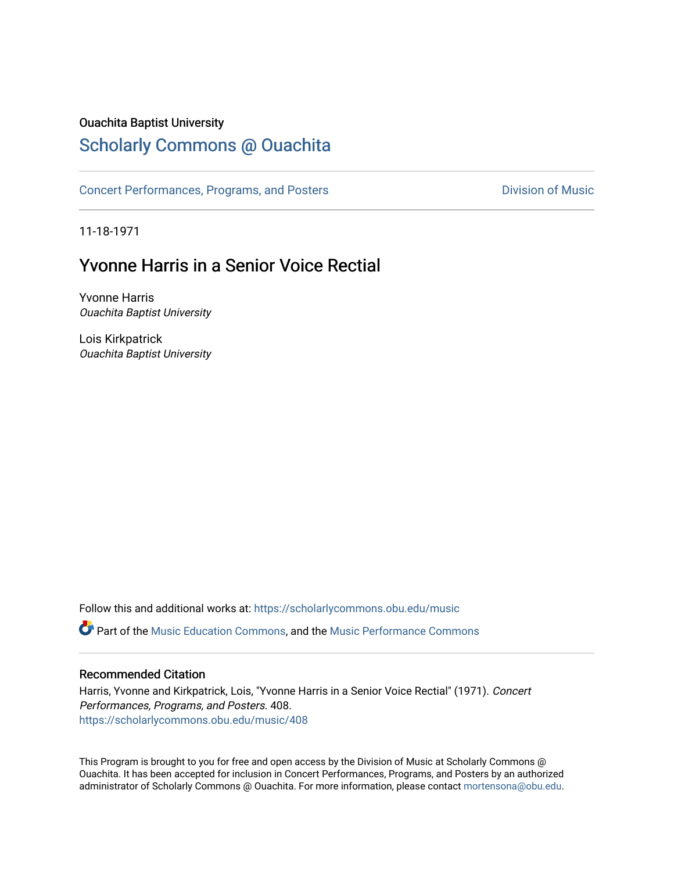#### Ouachita Baptist University

## [Scholarly Commons @ Ouachita](https://scholarlycommons.obu.edu/)

[Concert Performances, Programs, and Posters](https://scholarlycommons.obu.edu/music) **Division of Music** Division of Music

11-18-1971

# Yvonne Harris in a Senior Voice Rectial

Yvonne Harris Ouachita Baptist University

Lois Kirkpatrick Ouachita Baptist University

Follow this and additional works at: [https://scholarlycommons.obu.edu/music](https://scholarlycommons.obu.edu/music?utm_source=scholarlycommons.obu.edu%2Fmusic%2F408&utm_medium=PDF&utm_campaign=PDFCoverPages)  **C** Part of the [Music Education Commons,](http://network.bepress.com/hgg/discipline/1246?utm_source=scholarlycommons.obu.edu%2Fmusic%2F408&utm_medium=PDF&utm_campaign=PDFCoverPages) and the Music Performance Commons

#### Recommended Citation

Harris, Yvonne and Kirkpatrick, Lois, "Yvonne Harris in a Senior Voice Rectial" (1971). Concert Performances, Programs, and Posters. 408. [https://scholarlycommons.obu.edu/music/408](https://scholarlycommons.obu.edu/music/408?utm_source=scholarlycommons.obu.edu%2Fmusic%2F408&utm_medium=PDF&utm_campaign=PDFCoverPages) 

This Program is brought to you for free and open access by the Division of Music at Scholarly Commons @ Ouachita. It has been accepted for inclusion in Concert Performances, Programs, and Posters by an authorized administrator of Scholarly Commons @ Ouachita. For more information, please contact [mortensona@obu.edu](mailto:mortensona@obu.edu).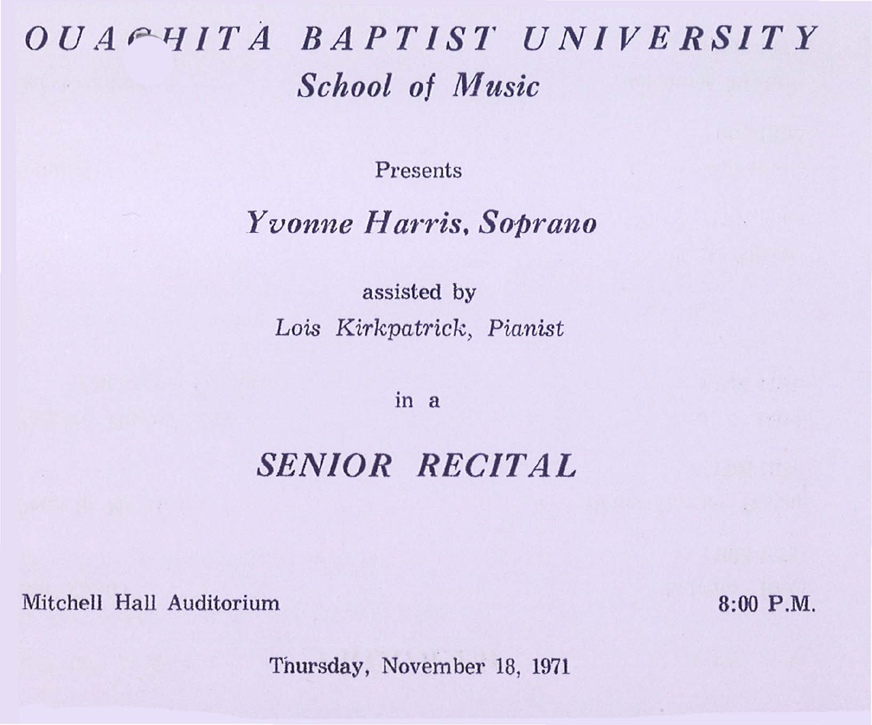# *OUA P--1-J/TA BAPTIST UNIVERSITY School of Music*

Presents

### *Yvonne Harris, Soprano*

assisted by *Lois Kirkpatrick> Pianist* 

in a

### *SENIOR RECITAL*

Mitchell Hall Auditorium 8:00 P.M.

Thursday, November 18, 1971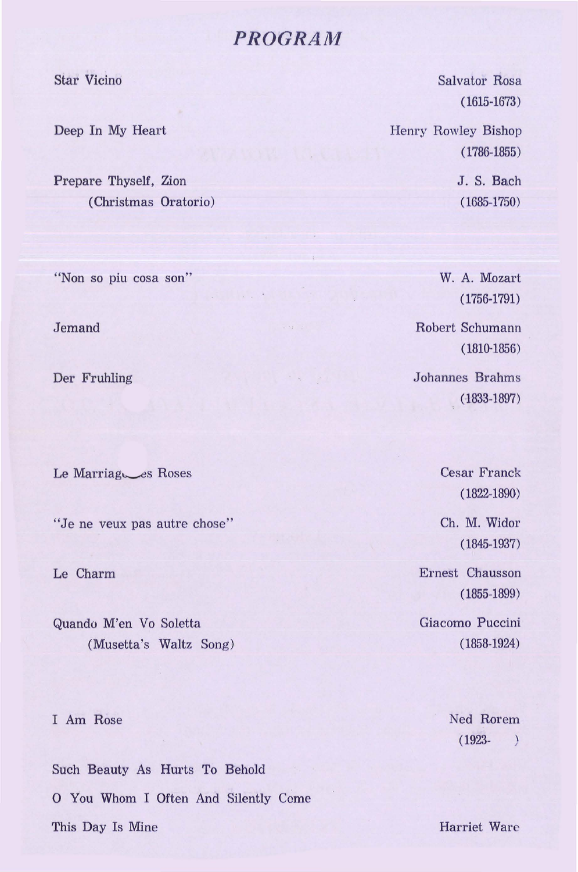### *PROGRAM*

Star Vicino

Deep In My Heart

Prepare Thyself, Zion (Christmas Oratorio)

"Non so piu cosa son"

Jemand

Der Fruhling

Le Marriagues Roses

"Je ne veux pas autre chose"

Le Charm

Quando M'en Vo Soletta (Musetta's Waltz Song)

I Am Rose

Such Beauty As Hurts To Behold 0 You Whom I Often And Silently Come This Day Is Mine

Salvator Rosa (1615-1673)

Henry Rowley Bishop ( 1786-1855)

> J. S. Bach (1685-1750)

W. A. Mozart (1756-1791)

Robert Schumann (1810.1856)

Johannes Brahms (1833-1897)

> Cesar Franck (1822-1890)

Ch. M. Widor ( 1845-1937)

Ernest Chausson (1855-1899)

Giacomo Puccini (1858-1924)

> Ned Rorem (1923-  $\lambda$

Harriet Ware